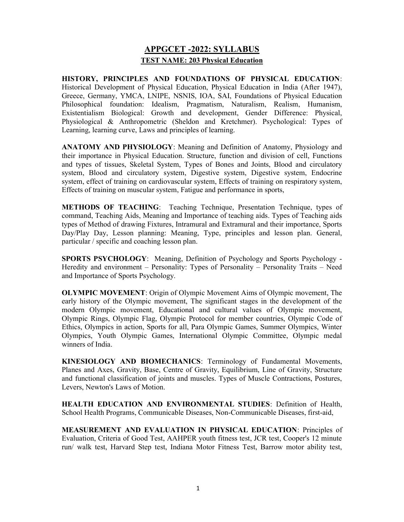# APPGCET -2022: SYLLABUS TEST NAME: 203 Physical Education

HISTORY, PRINCIPLES AND FOUNDATIONS OF PHYSICAL EDUCATION: Historical Development of Physical Education, Physical Education in India (After 1947), Greece, Germany, YMCA, LNIPE, NSNIS, IOA, SAI, Foundations of Physical Education Philosophical foundation: Idealism, Pragmatism, Naturalism, Realism, Humanism, Existentialism Biological: Growth and development, Gender Difference: Physical, Physiological & Anthropometric (Sheldon and Kretchmer). Psychological: Types of Learning, learning curve, Laws and principles of learning.

ANATOMY AND PHYSIOLOGY: Meaning and Definition of Anatomy, Physiology and their importance in Physical Education. Structure, function and division of cell, Functions and types of tissues, Skeletal System, Types of Bones and Joints, Blood and circulatory system, Blood and circulatory system, Digestive system, Digestive system, Endocrine system, effect of training on cardiovascular system, Effects of training on respiratory system, Effects of training on muscular system, Fatigue and performance in sports,

METHODS OF TEACHING: Teaching Technique, Presentation Technique, types of command, Teaching Aids, Meaning and Importance of teaching aids. Types of Teaching aids types of Method of drawing Fixtures, Intramural and Extramural and their importance, Sports Day/Play Day, Lesson planning: Meaning, Type, principles and lesson plan. General, particular / specific and coaching lesson plan.

SPORTS PSYCHOLOGY: Meaning, Definition of Psychology and Sports Psychology - Heredity and environment – Personality: Types of Personality – Personality Traits – Need and Importance of Sports Psychology.

OLYMPIC MOVEMENT: Origin of Olympic Movement Aims of Olympic movement, The early history of the Olympic movement, The significant stages in the development of the modern Olympic movement, Educational and cultural values of Olympic movement, Olympic Rings, Olympic Flag, Olympic Protocol for member countries, Olympic Code of Ethics, Olympics in action, Sports for all, Para Olympic Games, Summer Olympics, Winter Olympics, Youth Olympic Games, International Olympic Committee, Olympic medal winners of India.

KINESIOLOGY AND BIOMECHANICS: Terminology of Fundamental Movements, Planes and Axes, Gravity, Base, Centre of Gravity, Equilibrium, Line of Gravity, Structure and functional classification of joints and muscles. Types of Muscle Contractions, Postures, Levers, Newton's Laws of Motion.

HEALTH EDUCATION AND ENVIRONMENTAL STUDIES: Definition of Health, School Health Programs, Communicable Diseases, Non-Communicable Diseases, first-aid,

MEASUREMENT AND EVALUATION IN PHYSICAL EDUCATION: Principles of Evaluation, Criteria of Good Test, AAHPER youth fitness test, JCR test, Cooper's 12 minute run/ walk test, Harvard Step test, Indiana Motor Fitness Test, Barrow motor ability test,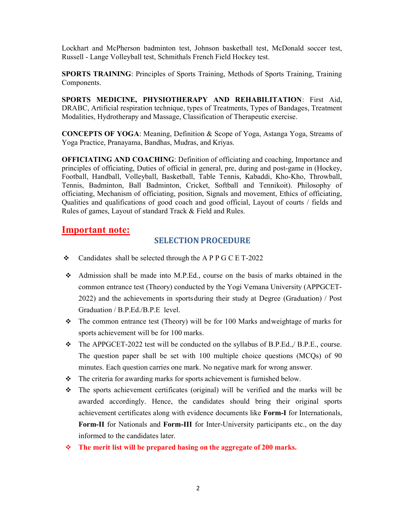Lockhart and McPherson badminton test, Johnson basketball test, McDonald soccer test, Russell - Lange Volleyball test, Schmithals French Field Hockey test.

SPORTS TRAINING: Principles of Sports Training, Methods of Sports Training, Training Components.

SPORTS MEDICINE, PHYSIOTHERAPY AND REHABILITATION: First Aid, DRABC, Artificial respiration technique, types of Treatments, Types of Bandages, Treatment Modalities, Hydrotherapy and Massage, Classification of Therapeutic exercise.

CONCEPTS OF YOGA: Meaning, Definition & Scope of Yoga, Astanga Yoga, Streams of Yoga Practice, Pranayama, Bandhas, Mudras, and Kriyas.

OFFICIATING AND COACHING: Definition of officiating and coaching, Importance and principles of officiating, Duties of official in general, pre, during and post-game in (Hockey, Football, Handball, Volleyball, Basketball, Table Tennis, Kabaddi, Kho-Kho, Throwball, Tennis, Badminton, Ball Badminton, Cricket, Softball and Tennikoit). Philosophy of officiating, Mechanism of officiating, position, Signals and movement, Ethics of officiating, Qualities and qualifications of good coach and good official, Layout of courts / fields and Rules of games, Layout of standard Track & Field and Rules.

### Important note:

### SELECTION PROCEDURE

- $\div$  Candidates shall be selected through the A P P G C E T-2022
- Admission shall be made into M.P.Ed., course on the basis of marks obtained in the common entrance test (Theory) conducted by the Yogi Vemana University (APPGCET-2022) and the achievements in sports during their study at Degree (Graduation) / Post Graduation / B.P.Ed./B.P.E level.
- $\div$  The common entrance test (Theory) will be for 100 Marks and weightage of marks for sports achievement will be for 100 marks.
- The APPGCET-2022 test will be conducted on the syllabus of B.P.Ed.,/ B.P.E., course. The question paper shall be set with 100 multiple choice questions (MCQs) of 90 minutes. Each question carries one mark. No negative mark for wrong answer.
- $\div$  The criteria for awarding marks for sports achievement is furnished below.
- The sports achievement certificates (original) will be verified and the marks will be awarded accordingly. Hence, the candidates should bring their original sports achievement certificates along with evidence documents like Form-I for Internationals, Form-II for Nationals and Form-III for Inter-University participants etc., on the day informed to the candidates later.
- $\div$  The merit list will be prepared basing on the aggregate of 200 marks.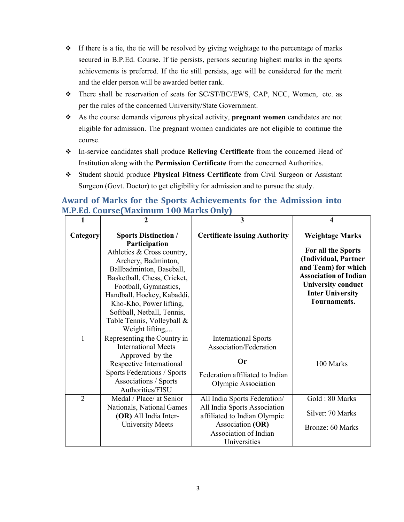- $\cdot \cdot$  If there is a tie, the tie will be resolved by giving weightage to the percentage of marks secured in B.P.Ed. Course. If tie persists, persons securing highest marks in the sports achievements is preferred. If the tie still persists, age will be considered for the merit and the elder person will be awarded better rank.
- There shall be reservation of seats for SC/ST/BC/EWS, CAP, NCC, Women, etc. as per the rules of the concerned University/State Government.
- As the course demands vigorous physical activity, pregnant women candidates are not eligible for admission. The pregnant women candidates are not eligible to continue the course.
- In-service candidates shall produce Relieving Certificate from the concerned Head of Institution along with the Permission Certificate from the concerned Authorities.
- Student should produce Physical Fitness Certificate from Civil Surgeon or Assistant Surgeon (Govt. Doctor) to get eligibility for admission and to pursue the study.

# Award of Marks for the Sports Achievements for the Admission into M.P.Ed. Course (Maximum 100 Marks Only)

| 1              | 2                                                                                                                                                                                                                   | 3                                                                                                                                                         | 4                                                                                                                                                                                                   |
|----------------|---------------------------------------------------------------------------------------------------------------------------------------------------------------------------------------------------------------------|-----------------------------------------------------------------------------------------------------------------------------------------------------------|-----------------------------------------------------------------------------------------------------------------------------------------------------------------------------------------------------|
| Category       | <b>Sports Distinction /</b><br>Participation<br>Athletics & Cross country,<br>Archery, Badminton,<br>Ballbadminton, Baseball,<br>Basketball, Chess, Cricket,<br>Football, Gymnastics,<br>Handball, Hockey, Kabaddi, | <b>Certificate issuing Authority</b>                                                                                                                      | <b>Weightage Marks</b><br>For all the Sports<br>(Individual, Partner<br>and Team) for which<br><b>Association of Indian</b><br><b>University conduct</b><br><b>Inter University</b><br>Tournaments. |
| 1              | Kho-Kho, Power lifting,<br>Softball, Netball, Tennis,<br>Table Tennis, Volleyball &<br>Weight lifting,<br>Representing the Country in                                                                               | <b>International Sports</b>                                                                                                                               |                                                                                                                                                                                                     |
|                | <b>International Meets</b><br>Approved by the<br>Respective International<br>Sports Federations / Sports<br>Associations / Sports<br>Authorities/FISU                                                               | Association/Federation<br>Or<br>Federation affiliated to Indian<br>Olympic Association                                                                    | 100 Marks                                                                                                                                                                                           |
| $\overline{2}$ | Medal / Place/ at Senior<br>Nationals, National Games<br>(OR) All India Inter-<br><b>University Meets</b>                                                                                                           | All India Sports Federation/<br>All India Sports Association<br>affiliated to Indian Olympic<br>Association (OR)<br>Association of Indian<br>Universities | Gold: 80 Marks<br>Silver: 70 Marks<br>Bronze: 60 Marks                                                                                                                                              |